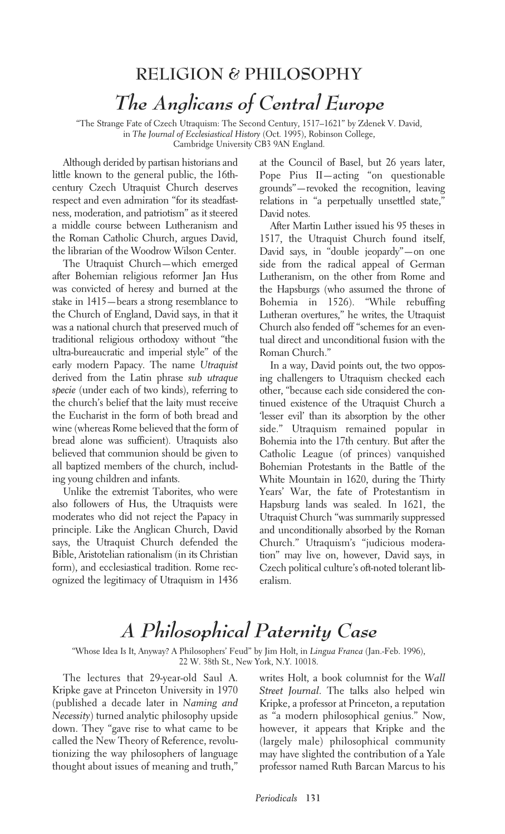## **RELIGION & PHILOSOPHY** *The Anglicans of Central Europe*

"The Strange Fate of Czech Utraquism: The Second Century, 1517–1621" by Zdenek V. David, in *The Journal of Ecclesiastical History* (Oct. 1995), Robinson College, Cambridge University CB3 9AN England.

Although derided by partisan historians and little known to the general public, the 16thcentury Czech Utraquist Church deserves respect and even admiration "for its steadfastness, moderation, and patriotism" as it steered a middle course between Lutheranism and the Roman Catholic Church, argues David, the librarian of the Woodrow Wilson Center.

The Utraquist Church—which emerged after Bohemian religious reformer Jan Hus was convicted of heresy and burned at the stake in 1415—bears a strong resemblance to the Church of England, David says, in that it was a national church that preserved much of traditional religious orthodoxy without "the ultra-bureaucratic and imperial style" of the early modern Papacy. The name *Utraquist* derived from the Latin phrase *sub utraque specie* (under each of two kinds), referring to the church's belief that the laity must receive the Eucharist in the form of both bread and wine (whereas Rome believed that the form of bread alone was sufficient). Utraquists also believed that communion should be given to all baptized members of the church, including young children and infants.

Unlike the extremist Taborites, who were also followers of Hus, the Utraquists were moderates who did not reject the Papacy in principle. Like the Anglican Church, David says, the Utraquist Church defended the Bible, Aristotelian rationalism (in its Christian form), and ecclesiastical tradition. Rome recognized the legitimacy of Utraquism in 1436 at the Council of Basel, but 26 years later, Pope Pius II—acting "on questionable grounds"—revoked the recognition, leaving relations in "a perpetually unsettled state," David notes.

After Martin Luther issued his 95 theses in 1517, the Utraquist Church found itself, David says, in "double jeopardy"—on one side from the radical appeal of German Lutheranism, on the other from Rome and the Hapsburgs (who assumed the throne of Bohemia in 1526). "While rebuffing Lutheran overtures," he writes, the Utraquist Church also fended off "schemes for an eventual direct and unconditional fusion with the Roman Church."

In a way, David points out, the two opposing challengers to Utraquism checked each other, "because each side considered the continued existence of the Utraquist Church a 'lesser evil' than its absorption by the other side." Utraquism remained popular in Bohemia into the 17th century. But after the Catholic League (of princes) vanquished Bohemian Protestants in the Battle of the White Mountain in 1620, during the Thirty Years' War, the fate of Protestantism in Hapsburg lands was sealed. In 1621, the Utraquist Church "was summarily suppressed and unconditionally absorbed by the Roman Church." Utraquism's "judicious moderation" may live on, however, David says, in Czech political culture's oft-noted tolerant liberalism.

## *A Philosophical Paternity Case*

"Whose Idea Is It, Anyway? A Philosophers' Feud" by Jim Holt, in *Lingua Franca* (Jan.-Feb. 1996), 22 W. 38th St., New York, N.Y. 10018.

The lectures that 29-year-old Saul A. Kripke gave at Princeton University in 1970 (published a decade later in *Naming and Necessity*) turned analytic philosophy upside down. They "gave rise to what came to be called the New Theory of Reference, revolutionizing the way philosophers of language thought about issues of meaning and truth,"

writes Holt, a book columnist for the *Wall Street Journal*. The talks also helped win Kripke, a professor at Princeton, a reputation as "a modern philosophical genius." Now, however, it appears that Kripke and the (largely male) philosophical community may have slighted the contribution of a Yale professor named Ruth Barcan Marcus to his